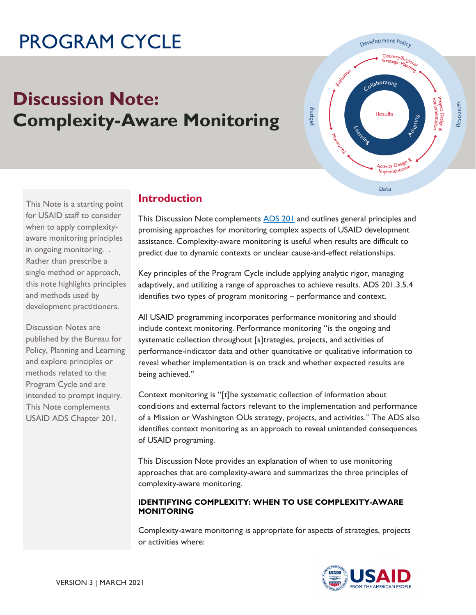# PROGRAM CYCLE

## **Discussion Note: Complexity-Aware Monitoring**



This Note is a starting point for USAID staff to consider when to apply complexityaware monitoring principles in ongoing monitoring. . Rather than prescribe a single method or approach, this note highlights principles and methods used by development practitioners.

Discussion Notes are published by the Bureau for Policy, Planning and Learning and explore principles or methods related to the Program Cycle and are intended to prompt inquiry. This Note complements USAID ADS Chapter 201.

## **Introduction**

This Discussion Note complements [ADS 201](https://www.usaid.gov/ads/policy/200/201) and outlines general principles and promising approaches for monitoring complex aspects of USAID development assistance. Complexity-aware monitoring is useful when results are difficult to predict due to dynamic contexts or unclear cause-and-effect relationships.

Key principles of the Program Cycle include applying analytic rigor, managing adaptively, and utilizing a range of approaches to achieve results. ADS 201.3.5.4 identifies two types of program monitoring – performance and context.

All USAID programming incorporates performance monitoring and should include context monitoring. Performance monitoring "is the ongoing and systematic collection throughout [s]trategies, projects, and activities of performance-indicator data and other quantitative or qualitative information to reveal whether implementation is on track and whether expected results are being achieved."

Context monitoring is "[t]he systematic collection of information about conditions and external factors relevant to the implementation and performance of a Mission or Washington OUs strategy, projects, and activities." The ADS also identifies context monitoring as an approach to reveal unintended consequences of USAID programing.

This Discussion Note provides an explanation of when to use monitoring approaches that are complexity-aware and summarizes the three principles of complexity-aware monitoring.

#### **IDENTIFYING COMPLEXITY: WHEN TO USE COMPLEXITY-AWARE MONITORING**

Complexity-aware monitoring is appropriate for aspects of strategies, projects or activities where:

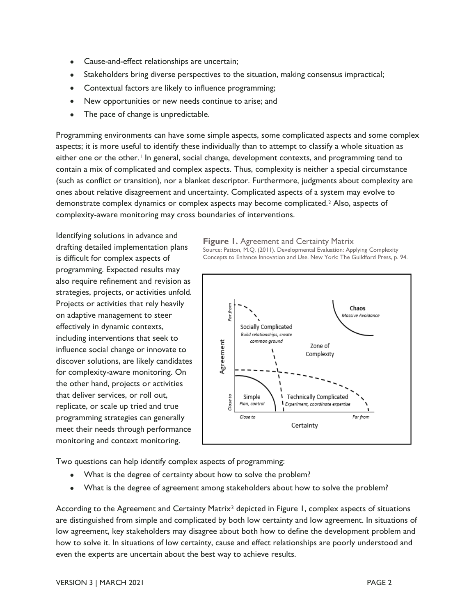- Cause-and-effect relationships are uncertain;
- Stakeholders bring diverse perspectives to the situation, making consensus impractical;
- Contextual factors are likely to influence programming;
- New opportunities or new needs continue to arise; and
- The pace of change is unpredictable.

Programming environments can have some simple aspects, some complicated aspects and some complex aspects; it is more useful to identify these individually than to attempt to classify a whole situation as either one or the other.<sup>1</sup> In general, social change, development contexts, and programming tend to contain a mix of complicated and complex aspects. Thus, complexity is neither a special circumstance (such as conflict or transition), nor a blanket descriptor. Furthermore, judgments about complexity are ones about relative disagreement and uncertainty. Complicated aspects of a system may evolve to demonstrate complex dynamics or complex aspects may become complicated.<sup>2</sup> Also, aspects of complexity-aware monitoring may cross boundaries of interventions.

Identifying solutions in advance and drafting detailed implementation plans is difficult for complex aspects of programming. Expected results may also require refinement and revision as strategies, projects, or activities unfold. Projects or activities that rely heavily on adaptive management to steer effectively in dynamic contexts, including interventions that seek to influence social change or innovate to discover solutions, are likely candidates for complexity-aware monitoring. On the other hand, projects or activities that deliver services, or roll out, replicate, or scale up tried and true programming strategies can generally meet their needs through performance monitoring and context monitoring.

**Figure 1.** Agreement and Certainty Matrix Source: Patton, M.Q. (2011). Developmental Evaluation: Applying Complexity Concepts to Enhance Innovation and Use. New York: The Guildford Press, p. 94.



Two questions can help identify complex aspects of programming:

- What is the degree of certainty about how to solve the problem?
- What is the degree of agreement among stakeholders about how to solve the problem?

According to the Agreement and Certainty Matrix<sup>3</sup> depicted in Figure 1, complex aspects of situations are distinguished from simple and complicated by both low certainty and low agreement. In situations of low agreement, key stakeholders may disagree about both how to define the development problem and how to solve it. In situations of low certainty, cause and effect relationships are poorly understood and even the experts are uncertain about the best way to achieve results.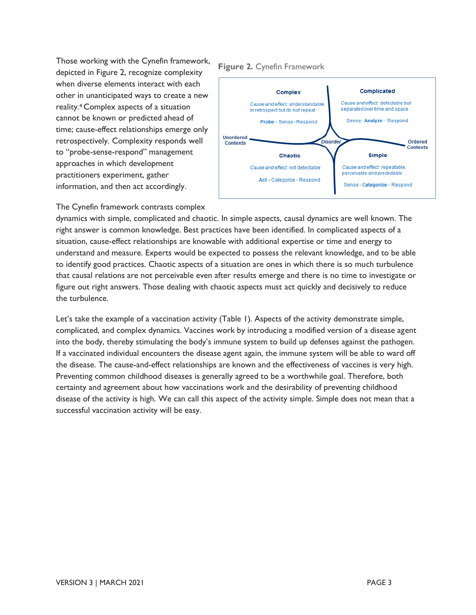Those working with the Cynefin framework, depicted in Figure 2, recognize complexity when diverse elements interact with each other in unanticipated ways to create a new reality.<sup>4</sup> Complex aspects of a situation cannot be known or predicted ahead of time; cause-effect relationships emerge only retrospectively. Complexity responds well to "probe-sense-respond" management approaches in which development practitioners experiment, gather information, and then act accordingly.

#### **Figure 2.** Cynefin Framework



The Cynefin framework contrasts complex

dynamics with simple, complicated and chaotic. In simple aspects, causal dynamics are well known. The right answer is common knowledge. Best practices have been identified. In complicated aspects of a situation, cause-effect relationships are knowable with additional expertise or time and energy to understand and measure. Experts would be expected to possess the relevant knowledge, and to be able to identify good practices. Chaotic aspects of a situation are ones in which there is so much turbulence that causal relations are not perceivable even after results emerge and there is no time to investigate or figure out right answers. Those dealing with chaotic aspects must act quickly and decisively to reduce the turbulence.

Let's take the example of a vaccination activity (Table 1). Aspects of the activity demonstrate simple, complicated, and complex dynamics. Vaccines work by introducing a modified version of a disease agent into the body, thereby stimulating the body's immune system to build up defenses against the pathogen. If a vaccinated individual encounters the disease agent again, the immune system will be able to ward off the disease. The cause-and-effect relationships are known and the effectiveness of vaccines is very high. Preventing common childhood diseases is generally agreed to be a worthwhile goal. Therefore, both certainty and agreement about how vaccinations work and the desirability of preventing childhood disease of the activity is high. We can call this aspect of the activity simple. Simple does not mean that a successful vaccination activity will be easy.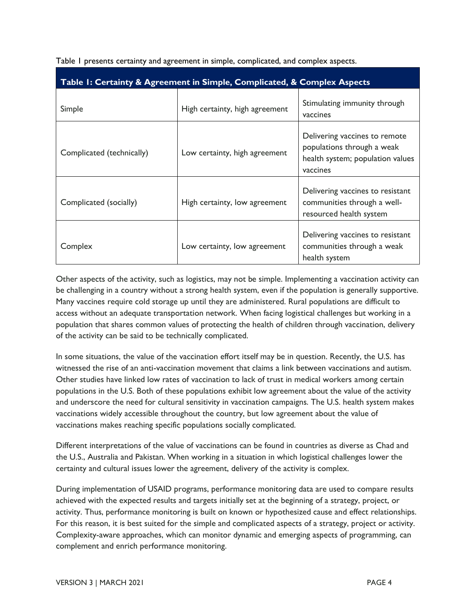| Table I: Certainty & Agreement in Simple, Complicated, & Complex Aspects |                                |                                                                                                             |
|--------------------------------------------------------------------------|--------------------------------|-------------------------------------------------------------------------------------------------------------|
| Simple                                                                   | High certainty, high agreement | Stimulating immunity through<br>vaccines                                                                    |
| Complicated (technically)                                                | Low certainty, high agreement  | Delivering vaccines to remote<br>populations through a weak<br>health system; population values<br>vaccines |
| Complicated (socially)                                                   | High certainty, low agreement  | Delivering vaccines to resistant<br>communities through a well-<br>resourced health system                  |
| Complex                                                                  | Low certainty, low agreement   | Delivering vaccines to resistant<br>communities through a weak<br>health system                             |

Table 1 presents certainty and agreement in simple, complicated, and complex aspects.

Other aspects of the activity, such as logistics, may not be simple. Implementing a vaccination activity can be challenging in a country without a strong health system, even if the population is generally supportive. Many vaccines require cold storage up until they are administered. Rural populations are difficult to access without an adequate transportation network. When facing logistical challenges but working in a population that shares common values of protecting the health of children through vaccination, delivery of the activity can be said to be technically complicated.

In some situations, the value of the vaccination effort itself may be in question. Recently, the U.S. has witnessed the rise of an anti-vaccination movement that claims a link between vaccinations and autism. Other studies have linked low rates of vaccination to lack of trust in medical workers among certain populations in the U.S. Both of these populations exhibit low agreement about the value of the activity and underscore the need for cultural sensitivity in vaccination campaigns. The U.S. health system makes vaccinations widely accessible throughout the country, but low agreement about the value of vaccinations makes reaching specific populations socially complicated.

Different interpretations of the value of vaccinations can be found in countries as diverse as Chad and the U.S., Australia and Pakistan. When working in a situation in which logistical challenges lower the certainty and cultural issues lower the agreement, delivery of the activity is complex.

During implementation of USAID programs, performance monitoring data are used to compare results achieved with the expected results and targets initially set at the beginning of a strategy, project, or activity. Thus, performance monitoring is built on known or hypothesized cause and effect relationships. For this reason, it is best suited for the simple and complicated aspects of a strategy, project or activity. Complexity-aware approaches, which can monitor dynamic and emerging aspects of programming, can complement and enrich performance monitoring.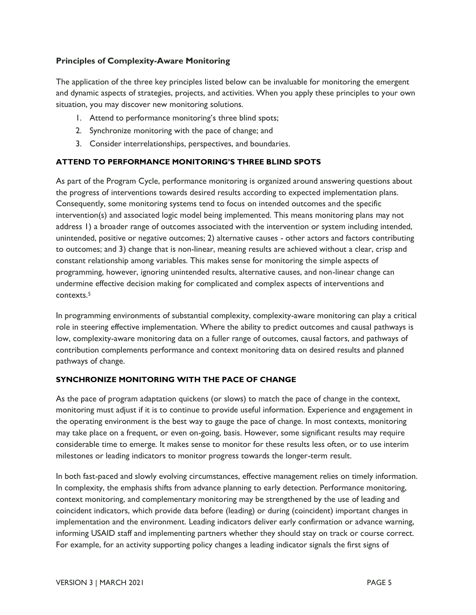#### **Principles of Complexity-Aware Monitoring**

The application of the three key principles listed below can be invaluable for monitoring the emergent and dynamic aspects of strategies, projects, and activities. When you apply these principles to your own situation, you may discover new monitoring solutions.

- 1. Attend to performance monitoring's three blind spots;
- 2. Synchronize monitoring with the pace of change; and
- 3. Consider interrelationships, perspectives, and boundaries.

#### **ATTEND TO PERFORMANCE MONITORING'S THREE BLIND SPOTS**

As part of the Program Cycle, performance monitoring is organized around answering questions about the progress of interventions towards desired results according to expected implementation plans. Consequently, some monitoring systems tend to focus on intended outcomes and the specific intervention(s) and associated logic model being implemented. This means monitoring plans may not address 1) a broader range of outcomes associated with the intervention or system including intended, unintended, positive or negative outcomes; 2) alternative causes - other actors and factors contributing to outcomes; and 3) change that is non-linear, meaning results are achieved without a clear, crisp and constant relationship among variables. This makes sense for monitoring the simple aspects of programming, however, ignoring unintended results, alternative causes, and non-linear change can undermine effective decision making for complicated and complex aspects of interventions and contexts.<sup>5</sup>

In programming environments of substantial complexity, complexity-aware monitoring can play a critical role in steering effective implementation. Where the ability to predict outcomes and causal pathways is low, complexity-aware monitoring data on a fuller range of outcomes, causal factors, and pathways of contribution complements performance and context monitoring data on desired results and planned pathways of change.

#### **SYNCHRONIZE MONITORING WITH THE PACE OF CHANGE**

As the pace of program adaptation quickens (or slows) to match the pace of change in the context, monitoring must adjust if it is to continue to provide useful information. Experience and engagement in the operating environment is the best way to gauge the pace of change. In most contexts, monitoring may take place on a frequent, or even on-going, basis. However, some significant results may require considerable time to emerge. It makes sense to monitor for these results less often, or to use interim milestones or leading indicators to monitor progress towards the longer-term result.

In both fast-paced and slowly evolving circumstances, effective management relies on timely information. In complexity, the emphasis shifts from advance planning to early detection. Performance monitoring, context monitoring, and complementary monitoring may be strengthened by the use of leading and coincident indicators, which provide data before (leading) or during (coincident) important changes in implementation and the environment. Leading indicators deliver early confirmation or advance warning, informing USAID staff and implementing partners whether they should stay on track or course correct. For example, for an activity supporting policy changes a leading indicator signals the first signs of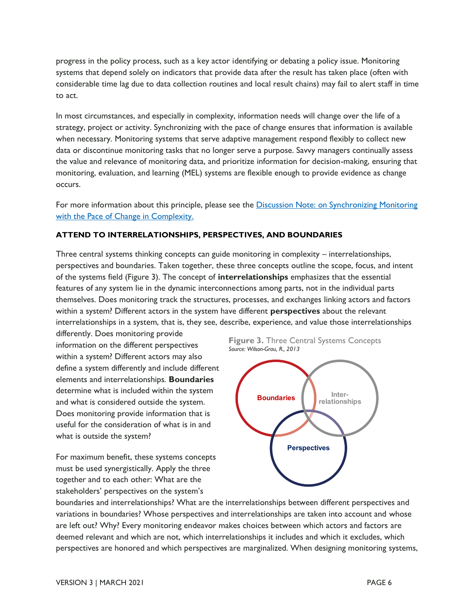progress in the policy process, such as a key actor identifying or debating a policy issue. Monitoring systems that depend solely on indicators that provide data after the result has taken place (often with considerable time lag due to data collection routines and local result chains) may fail to alert staff in time to act.

In most circumstances, and especially in complexity, information needs will change over the life of a strategy, project or activity. Synchronizing with the pace of change ensures that information is available when necessary. Monitoring systems that serve adaptive management respond flexibly to collect new data or discontinue monitoring tasks that no longer serve a purpose. Savvy managers continually assess the value and relevance of monitoring data, and prioritize information for decision-making, ensuring that monitoring, evaluation, and learning (MEL) systems are flexible enough to provide evidence as change occurs.

For more information about this principle, please see the Discussion Note: on Synchronizing Monitoring [with the Pace of Change in Complexity.](https://usaidlearninglab.org/library/synchronizing-monitoring-pace-change-complexity-complexity-aware-monitoring-principle)

#### **ATTEND TO INTERRELATIONSHIPS, PERSPECTIVES, AND BOUNDARIES**

Three central systems thinking concepts can guide monitoring in complexity – interrelationships, perspectives and boundaries. Taken together, these three concepts outline the scope, focus, and intent of the systems field (Figure 3). The concept of **interrelationships** emphasizes that the essential features of any system lie in the dynamic interconnections among parts, not in the individual parts themselves. Does monitoring track the structures, processes, and exchanges linking actors and factors within a system? Different actors in the system have different **perspectives** about the relevant interrelationships in a system, that is, they see, describe, experience, and value those interrelationships

differently. Does monitoring provide information on the different perspectives within a system? Different actors may also define a system differently and include different elements and interrelationships. **Boundaries** determine what is included within the system and what is considered outside the system. Does monitoring provide information that is useful for the consideration of what is in and what is outside the system?

For maximum benefit, these systems concepts must be used synergistically. Apply the three together and to each other: What are the stakeholders' perspectives on the system's





boundaries and interrelationships? What are the interrelationships between different perspectives and variations in boundaries? Whose perspectives and interrelationships are taken into account and whose are left out? Why? Every monitoring endeavor makes choices between which actors and factors are deemed relevant and which are not, which interrelationships it includes and which it excludes, which perspectives are honored and which perspectives are marginalized. When designing monitoring systems,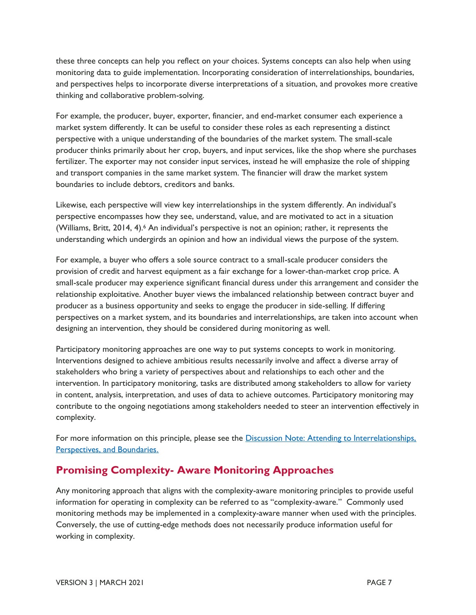these three concepts can help you reflect on your choices. Systems concepts can also help when using monitoring data to guide implementation. Incorporating consideration of interrelationships, boundaries, and perspectives helps to incorporate diverse interpretations of a situation, and provokes more creative thinking and collaborative problem-solving.

For example, the producer, buyer, exporter, financier, and end-market consumer each experience a market system differently. It can be useful to consider these roles as each representing a distinct perspective with a unique understanding of the boundaries of the market system. The small-scale producer thinks primarily about her crop, buyers, and input services, like the shop where she purchases fertilizer. The exporter may not consider input services, instead he will emphasize the role of shipping and transport companies in the same market system. The financier will draw the market system boundaries to include debtors, creditors and banks.

Likewise, each perspective will view key interrelationships in the system differently. An individual's perspective encompasses how they see, understand, value, and are motivated to act in a situation (Williams, Britt, 2014, 4).<sup>6</sup> An individual's perspective is not an opinion; rather, it represents the understanding which undergirds an opinion and how an individual views the purpose of the system.

For example, a buyer who offers a sole source contract to a small-scale producer considers the provision of credit and harvest equipment as a fair exchange for a lower-than-market crop price. A small-scale producer may experience significant financial duress under this arrangement and consider the relationship exploitative. Another buyer views the imbalanced relationship between contract buyer and producer as a business opportunity and seeks to engage the producer in side-selling. If differing perspectives on a market system, and its boundaries and interrelationships, are taken into account when designing an intervention, they should be considered during monitoring as well.

Participatory monitoring approaches are one way to put systems concepts to work in monitoring. Interventions designed to achieve ambitious results necessarily involve and affect a diverse array of stakeholders who bring a variety of perspectives about and relationships to each other and the intervention. In participatory monitoring, tasks are distributed among stakeholders to allow for variety in content, analysis, interpretation, and uses of data to achieve outcomes. Participatory monitoring may contribute to the ongoing negotiations among stakeholders needed to steer an intervention effectively in complexity.

For more information on this principle, please see the [Discussion Note: Attending to Interrelationships,](https://usaidlearninglab.org/library/attending-interrelationships-perspectives-and-boundaries-complexity-aware-monitoring)  [Perspectives, and Boundaries.](https://usaidlearninglab.org/library/attending-interrelationships-perspectives-and-boundaries-complexity-aware-monitoring)

## **Promising Complexity- Aware Monitoring Approaches**

Any monitoring approach that aligns with the complexity-aware monitoring principles to provide useful information for operating in complexity can be referred to as "complexity-aware." Commonly used monitoring methods may be implemented in a complexity-aware manner when used with the principles. Conversely, the use of cutting-edge methods does not necessarily produce information useful for working in complexity.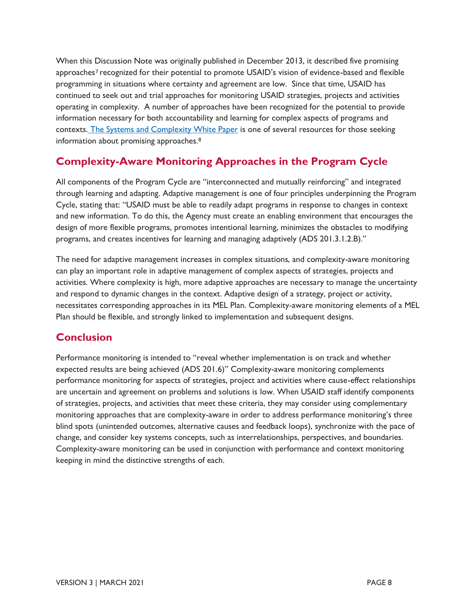When this Discussion Note was originally published in December 2013, it described five promising approaches<sup>7</sup> recognized for their potential to promote USAID's vision of evidence-based and flexible programming in situations where certainty and agreement are low. Since that time, USAID has continued to seek out and trial approaches for monitoring USAID strategies, projects and activities operating in complexity. A number of approaches have been recognized for the potential to provide information necessary for both accountability and learning for complex aspects of programs and contexts. [The Systems and Complexity White Paper](https://pdf.usaid.gov/pdf_docs/PA00M7QZ.pdf) is one of several resources for those seeking information about promising approaches.<sup>8</sup>

## **Complexity-Aware Monitoring Approaches in the Program Cycle**

All components of the Program Cycle are "interconnected and mutually reinforcing" and integrated through learning and adapting. Adaptive management is one of four principles underpinning the Program Cycle, stating that: "USAID must be able to readily adapt programs in response to changes in context and new information. To do this, the Agency must create an enabling environment that encourages the design of more flexible programs, promotes intentional learning, minimizes the obstacles to modifying programs, and creates incentives for learning and managing adaptively (ADS 201.3.1.2.B)."

The need for adaptive management increases in complex situations, and complexity-aware monitoring can play an important role in adaptive management of complex aspects of strategies, projects and activities. Where complexity is high, more adaptive approaches are necessary to manage the uncertainty and respond to dynamic changes in the context. Adaptive design of a strategy, project or activity, necessitates corresponding approaches in its MEL Plan. Complexity-aware monitoring elements of a MEL Plan should be flexible, and strongly linked to implementation and subsequent designs.

### **Conclusion**

Performance monitoring is intended to "reveal whether implementation is on track and whether expected results are being achieved (ADS 201.6)" Complexity-aware monitoring complements performance monitoring for aspects of strategies, project and activities where cause-effect relationships are uncertain and agreement on problems and solutions is low. When USAID staff identify components of strategies, projects, and activities that meet these criteria, they may consider using complementary monitoring approaches that are complexity-aware in order to address performance monitoring's three blind spots (unintended outcomes, alternative causes and feedback loops), synchronize with the pace of change, and consider key systems concepts, such as interrelationships, perspectives, and boundaries. Complexity-aware monitoring can be used in conjunction with performance and context monitoring keeping in mind the distinctive strengths of each.